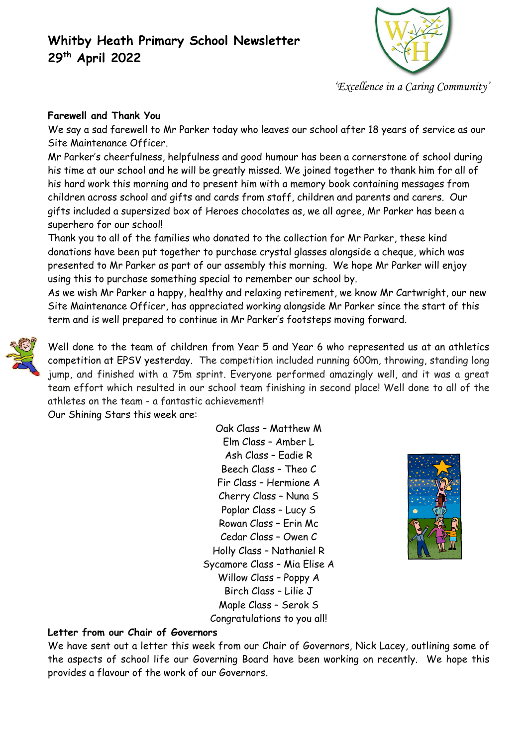## **Whitby Heath Primary School Newsletter 29 th April 2022**



*'Excellence in a Caring Community'*

## **Farewell and Thank You**

We say a sad farewell to Mr Parker today who leaves our school after 18 years of service as our Site Maintenance Officer.

Mr Parker's cheerfulness, helpfulness and good humour has been a cornerstone of school during his time at our school and he will be greatly missed. We joined together to thank him for all of his hard work this morning and to present him with a memory book containing messages from children across school and gifts and cards from staff, children and parents and carers. Our gifts included a supersized box of Heroes chocolates as, we all agree, Mr Parker has been a superhero for our school!

Thank you to all of the families who donated to the collection for Mr Parker, these kind donations have been put together to purchase crystal glasses alongside a cheque, which was presented to Mr Parker as part of our assembly this morning. We hope Mr Parker will enjoy using this to purchase something special to remember our school by.

As we wish Mr Parker a happy, healthy and relaxing retirement, we know Mr Cartwright, our new Site Maintenance Officer, has appreciated working alongside Mr Parker since the start of this term and is well prepared to continue in Mr Parker's footsteps moving forward.



Well done to the team of children from Year 5 and Year 6 who represented us at an athletics competition at EPSV yesterday. The competition included running 600m, throwing, standing long jump, and finished with a 75m sprint. Everyone performed amazingly well, and it was a great team effort which resulted in our school team finishing in second place! Well done to all of the athletes on the team - a fantastic achievement!

Our Shining Stars this week are:

Oak Class – Matthew M Elm Class – Amber L Ash Class – Eadie R Beech Class – Theo C Fir Class – Hermione A Cherry Class – Nuna S Poplar Class – Lucy S Rowan Class – Erin Mc Cedar Class – Owen C Holly Class – Nathaniel R Sycamore Class – Mia Elise A Willow Class – Poppy A Birch Class – Lilie J Maple Class – Serok S Congratulations to you all!



### **Letter from our Chair of Governors**

We have sent out a letter this week from our Chair of Governors, Nick Lacey, outlining some of the aspects of school life our Governing Board have been working on recently. We hope this provides a flavour of the work of our Governors.